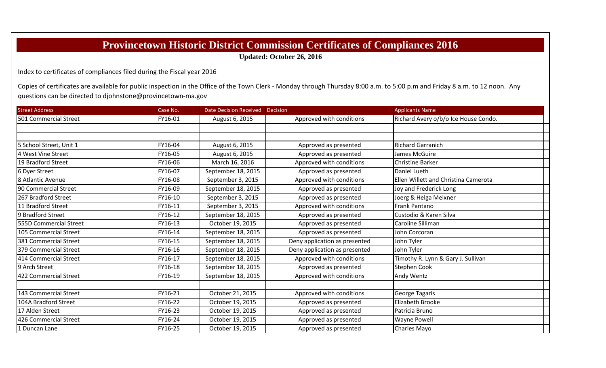## **Provincetown Historic District Commission Certificates of Compliances 2016**

**Updated: October 26, 2016**

Index to certificates of compliances filed during the Fiscal year 2016

Copies of certificates are available for public inspection in the Office of the Town Clerk - Monday through Thursday 8:00 a.m. to 5:00 p.m and Friday 8 a.m. to 12 noon. Any questions can be directed to djohnstone@provincetown‐ma.gov

| <b>Street Address</b>   | Case No. | Date Decision Received Decision |                               | <b>Applicants Name</b>               |
|-------------------------|----------|---------------------------------|-------------------------------|--------------------------------------|
| 501 Commercial Street   | FY16-01  | August 6, 2015                  | Approved with conditions      | Richard Avery o/b/o Ice House Condo. |
|                         |          |                                 |                               |                                      |
|                         |          |                                 |                               |                                      |
| 5 School Street, Unit 1 | FY16-04  | August 6, 2015                  | Approved as presented         | <b>Richard Garranich</b>             |
| 4 West Vine Street      | FY16-05  | August 6, 2015                  | Approved as presented         | James McGuire                        |
| 19 Bradford Street      | FY16-06  | March 16, 2016                  | Approved with conditions      | <b>Christine Barker</b>              |
| 6 Dyer Street           | FY16-07  | September 18, 2015              | Approved as presented         | Daniel Lueth                         |
| 8 Atlantic Avenue       | FY16-08  | September 3, 2015               | Approved with conditions      | Ellen Willett and Christina Camerota |
| 90 Commercial Street    | FY16-09  | September 18, 2015              | Approved as presented         | Joy and Frederick Long               |
| 267 Bradford Street     | FY16-10  | September 3, 2015               | Approved as presented         | Joerg & Helga Meixner                |
| 11 Bradford Street      | FY16-11  | September 3, 2015               | Approved with conditions      | Frank Pantano                        |
| 9 Bradford Street       | FY16-12  | September 18, 2015              | Approved as presented         | Custodio & Karen Silva               |
| 555D Commercial Street  | FY16-13  | October 19, 2015                | Approved as presented         | Caroline Silliman                    |
| 105 Commercial Street   | FY16-14  | September 18, 2015              | Approved as presented         | John Corcoran                        |
| 381 Commercial Street   | FY16-15  | September 18, 2015              | Deny application as presented | John Tyler                           |
| 379 Commercial Street   | FY16-16  | September 18, 2015              | Deny application as presented | John Tyler                           |
| 414 Commercial Street   | FY16-17  | September 18, 2015              | Approved with conditions      | Timothy R. Lynn & Gary J. Sullivan   |
| 9 Arch Street           | FY16-18  | September 18, 2015              | Approved as presented         | <b>Stephen Cook</b>                  |
| 422 Commercial Street   | FY16-19  | September 18, 2015              | Approved with conditions      | Andy Wentz                           |
|                         |          |                                 |                               |                                      |
| 143 Commercial Street   | FY16-21  | October 21, 2015                | Approved with conditions      | George Tagaris                       |
| 104A Bradford Street    | FY16-22  | October 19, 2015                | Approved as presented         | Elizabeth Brooke                     |
| 17 Alden Street         | FY16-23  | October 19, 2015                | Approved as presented         | Patricia Bruno                       |
| 426 Commercial Street   | FY16-24  | October 19, 2015                | Approved as presented         | <b>Wayne Powell</b>                  |
| 1 Duncan Lane           | FY16-25  | October 19, 2015                | Approved as presented         | Charles Mayo                         |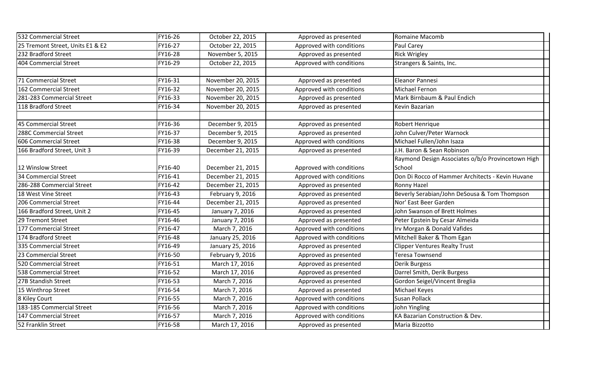| 532 Commercial Street            | FY16-26 | October 22, 2015  | Approved as presented    | <b>Romaine Macomb</b>                             |
|----------------------------------|---------|-------------------|--------------------------|---------------------------------------------------|
| 25 Tremont Street, Units E1 & E2 | FY16-27 | October 22, 2015  | Approved with conditions | Paul Carey                                        |
| 232 Bradford Street              | FY16-28 | November 5, 2015  | Approved as presented    | <b>Rick Wrigley</b>                               |
| 404 Commercial Street            | FY16-29 | October 22, 2015  | Approved with conditions | Strangers & Saints, Inc.                          |
|                                  |         |                   |                          |                                                   |
| 71 Commercial Street             | FY16-31 | November 20, 2015 | Approved as presented    | Eleanor Pannesi                                   |
| 162 Commercial Street            | FY16-32 | November 20, 2015 | Approved with conditions | Michael Fernon                                    |
| 281-283 Commercial Street        | FY16-33 | November 20, 2015 | Approved as presented    | Mark Birnbaum & Paul Endich                       |
| 118 Bradford Street              | FY16-34 | November 20, 2015 | Approved as presented    | Kevin Bazarian                                    |
| 45 Commercial Street             | FY16-36 | December 9, 2015  | Approved as presented    | Robert Henrique                                   |
| 288C Commercial Street           | FY16-37 | December 9, 2015  | Approved as presented    | John Culver/Peter Warnock                         |
| 606 Commercial Street            | FY16-38 | December 9, 2015  | Approved with conditions | Michael Fullen/John Isaza                         |
| 166 Bradford Street, Unit 3      | FY16-39 | December 21, 2015 | Approved as presented    | J.H. Baron & Sean Robinson                        |
|                                  |         |                   |                          | Raymond Design Associates o/b/o Provincetown High |
| 12 Winslow Street                | FY16-40 | December 21, 2015 | Approved with conditions | School                                            |
| 34 Commercial Street             | FY16-41 | December 21, 2015 | Approved with conditions | Don Di Rocco of Hammer Architects - Kevin Huvane  |
| 286-288 Commercial Street        | FY16-42 | December 21, 2015 | Approved as presented    | <b>Ronny Hazel</b>                                |
| 18 West Vine Street              | FY16-43 | February 9, 2016  | Approved as presented    | Beverly Serabian/John DeSousa & Tom Thompson      |
| 206 Commercial Street            | FY16-44 | December 21, 2015 | Approved as presented    | Nor' East Beer Garden                             |
| 166 Bradford Street, Unit 2      | FY16-45 | January 7, 2016   | Approved as presented    | John Swanson of Brett Holmes                      |
| 29 Tremont Street                | FY16-46 | January 7, 2016   | Approved as presented    | Peter Epstein by Cesar Almeida                    |
| 177 Commercial Street            | FY16-47 | March 7, 2016     | Approved with conditions | Irv Morgan & Donald Vafides                       |
| 174 Bradford Street              | FY16-48 | January 25, 2016  | Approved with conditions | Mitchell Baker & Thom Egan                        |
| 335 Commercial Street            | FY16-49 | January 25, 2016  | Approved as presented    | <b>Clipper Ventures Realty Trust</b>              |
| 23 Commercial Street             | FY16-50 | February 9, 2016  | Approved as presented    | <b>Teresa Townsend</b>                            |
| 520 Commercial Street            | FY16-51 | March 17, 2016    | Approved as presented    | <b>Derik Burgess</b>                              |
| 538 Commercial Street            | FY16-52 | March 17, 2016    | Approved as presented    | Darrel Smith, Derik Burgess                       |
| 27B Standish Street              | FY16-53 | March 7, 2016     | Approved as presented    | Gordon Seigel/Vincent Breglia                     |
| 15 Winthrop Street               | FY16-54 | March 7, 2016     | Approved as presented    | Michael Keyes                                     |
| 8 Kiley Court                    | FY16-55 | March 7, 2016     | Approved with conditions | <b>Susan Pollack</b>                              |
| 183-185 Commercial Street        | FY16-56 | March 7, 2016     | Approved with conditions | John Yingling                                     |
| 147 Commercial Street            | FY16-57 | March 7, 2016     | Approved with conditions | KA Bazarian Construction & Dev.                   |
| 52 Franklin Street               | FY16-58 | March 17, 2016    | Approved as presented    | Maria Bizzotto                                    |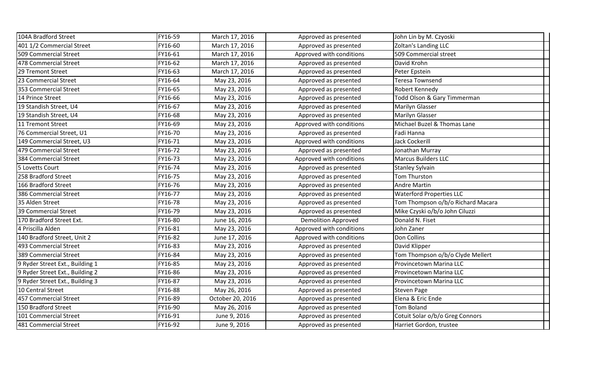| 104A Bradford Street            | FY16-59 | March 17, 2016   | Approved as presented      | John Lin by M. Czyoski            |
|---------------------------------|---------|------------------|----------------------------|-----------------------------------|
| 401 1/2 Commercial Street       | FY16-60 | March 17, 2016   | Approved as presented      | Zoltan's Landing LLC              |
| 509 Commercial Street           | FY16-61 | March 17, 2016   | Approved with conditions   | 509 Commercial street             |
| 478 Commercial Street           | FY16-62 | March 17, 2016   | Approved as presented      | David Krohn                       |
| 29 Tremont Street               | FY16-63 | March 17, 2016   | Approved as presented      | Peter Epstein                     |
| 23 Commercial Street            | FY16-64 | May 23, 2016     | Approved as presented      | Teresa Townsend                   |
| 353 Commercial Street           | FY16-65 | May 23, 2016     | Approved as presented      | Robert Kennedy                    |
| 14 Prince Street                | FY16-66 | May 23, 2016     | Approved as presented      | Todd Olson & Gary Timmerman       |
| 19 Standish Street, U4          | FY16-67 | May 23, 2016     | Approved as presented      | <b>Marilyn Glasser</b>            |
| 19 Standish Street, U4          | FY16-68 | May 23, 2016     | Approved as presented      | <b>Marilyn Glasser</b>            |
| 11 Tremont Street               | FY16-69 | May 23, 2016     | Approved with conditions   | Michael Buzel & Thomas Lane       |
| 76 Commercial Street, U1        | FY16-70 | May 23, 2016     | Approved as presented      | Fadi Hanna                        |
| 149 Commercial Street, U3       | FY16-71 | May 23, 2016     | Approved with conditions   | <b>Jack Cockerill</b>             |
| 479 Commercial Street           | FY16-72 | May 23, 2016     | Approved as presented      | Jonathan Murray                   |
| 384 Commercial Street           | FY16-73 | May 23, 2016     | Approved with conditions   | <b>Marcus Builders LLC</b>        |
| 5 Lovetts Court                 | FY16-74 | May 23, 2016     | Approved as presented      | <b>Stanley Sylvain</b>            |
| 258 Bradford Street             | FY16-75 | May 23, 2016     | Approved as presented      | Tom Thurston                      |
| 166 Bradford Street             | FY16-76 | May 23, 2016     | Approved as presented      | <b>Andre Martin</b>               |
| 386 Commercial Street           | FY16-77 | May 23, 2016     | Approved as presented      | <b>Waterford Properties LLC</b>   |
| 35 Alden Street                 | FY16-78 | May 23, 2016     | Approved as presented      | Tom Thompson o/b/o Richard Macara |
| 39 Commercial Street            | FY16-79 | May 23, 2016     | Approved as presented      | Mike Czyski o/b/o John Ciluzzi    |
| 170 Bradford Street Ext.        | FY16-80 | June 16, 2016    | <b>Demolition Approved</b> | Donald N. Fiset                   |
| 4 Priscilla Alden               | FY16-81 | May 23, 2016     | Approved with conditions   | John Zaner                        |
| 140 Bradford Street, Unit 2     | FY16-82 | June 17, 2016    | Approved with conditions   | Don Collins                       |
| 493 Commercial Street           | FY16-83 | May 23, 2016     | Approved as presented      | David Klipper                     |
| 389 Commercial Street           | FY16-84 | May 23, 2016     | Approved as presented      | Tom Thompson o/b/o Clyde Mellert  |
| 9 Ryder Street Ext., Building 1 | FY16-85 | May 23, 2016     | Approved as presented      | Provincetown Marina LLC           |
| 9 Ryder Street Ext., Building 2 | FY16-86 | May 23, 2016     | Approved as presented      | Provincetown Marina LLC           |
| 9 Ryder Street Ext., Building 3 | FY16-87 | May 23, 2016     | Approved as presented      | Provincetown Marina LLC           |
| 10 Central Street               | FY16-88 | May 26, 2016     | Approved as presented      | <b>Steven Page</b>                |
| 457 Commercial Street           | FY16-89 | October 20, 2016 | Approved as presented      | Elena & Eric Ende                 |
| 150 Bradford Street             | FY16-90 | May 26, 2016     | Approved as presented      | Tom Boland                        |
| 101 Commercial Street           | FY16-91 | June 9, 2016     | Approved as presented      | Cotuit Solar o/b/o Greg Connors   |
| 481 Commercial Street           | FY16-92 | June 9, 2016     | Approved as presented      | Harriet Gordon, trustee           |